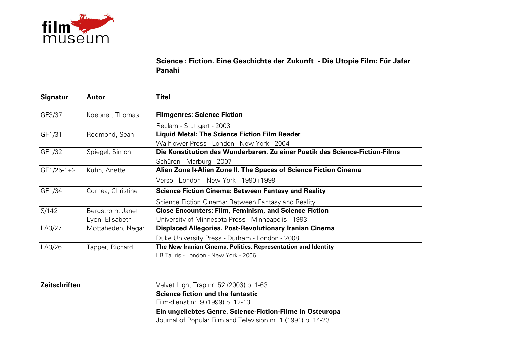

**Science : Fiction. Eine Geschichte der Zukunft - Die Utopie Film: Für Jafar Panahi**

| <b>Signatur</b> | Autor             | Titel                                                                       |
|-----------------|-------------------|-----------------------------------------------------------------------------|
| GF3/37          | Koebner, Thomas   | <b>Filmgenres: Science Fiction</b>                                          |
|                 |                   | Reclam - Stuttgart - 2003                                                   |
| GF1/31          | Redmond, Sean     | <b>Liquid Metal: The Science Fiction Film Reader</b>                        |
|                 |                   | Wallflower Press - London - New York - 2004                                 |
| GF1/32          | Spiegel, Simon    | Die Konstitution des Wunderbaren. Zu einer Poetik des Science-Fiction-Films |
|                 |                   | Schüren - Marburg - 2007                                                    |
| $GF1/25-1+2$    | Kuhn, Anette      | Alien Zone I+Alien Zone II. The Spaces of Science Fiction Cinema            |
|                 |                   | Verso - London - New York - 1990+1999                                       |
| GF1/34          | Cornea, Christine | <b>Science Fiction Cinema: Between Fantasy and Reality</b>                  |
|                 |                   | Science Fiction Cinema: Between Fantasy and Reality                         |
| S/142           | Bergstrom, Janet  | <b>Close Encounters: Film, Feminism, and Science Fiction</b>                |
|                 | Lyon, Elisabeth   | University of Minnesota Press - Minneapolis - 1993                          |
| LA3/27          | Mottahedeh, Negar | <b>Displaced Allegories. Post-Revolutionary Iranian Cinema</b>              |
|                 |                   | Duke University Press - Durham - London - 2008                              |
| LA3/26          | Tapper, Richard   | The New Iranian Cinema. Politics, Representation and Identity               |
|                 |                   | .B.Tauris - London - New York - 2006                                        |

**Zeitschriften**

 Velvet Light Trap nr. 52 (2003) p. 1-63 **Science fiction and the fantastic**Film-dienst nr. 9 (1999) p. 12-13 **Ein ungeliebtes Genre. Science-Fiction-Filme in Osteuropa**Journal of Popular Film and Television nr. 1 (1991) p. 14-23